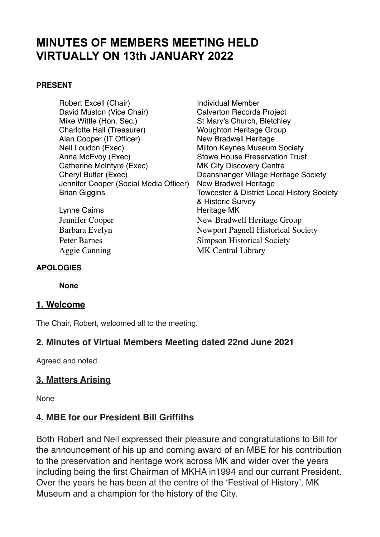# **MINUTES OF MEMBERS MEETING HELD VIRTUALLY ON 13th JANUARY 2022**

#### **PRESENT**

- Robert Excell (Chair) **Individual Member** David Muston (Vice Chair) Calverton Records Project Mike Wittle (Hon. Sec.)<br>
Charlotte Hall (Treasurer) 
St Mary's Church, Bletchley<br>
Woughton Heritage Group Alan Cooper (IT Officer) New Bradwell Heritage Neil Loudon (Exec) Milton Keynes Museum Society Anna McEvoy (Exec) Stowe House Preservation Trust Catherine McIntyre (Exec) MK City Discovery Centre Cheryl Butler (Exec) Deanshanger Village Heritage Society Jennifer Cooper (Social Media Officer) New Bradwell Heritage
- Lynne Cairns **Heritage MK**
- **Woughton Heritage Group** Brian Giggins Towcester & District Local History Society & Historic Survey Jennifer Cooper New Bradwell Heritage Group Barbara Evelyn Newport Pagnell Historical Society Peter Barnes Simpson Historical Society Aggie Canning MK Central Library

#### **APOLOGIES**

**None** 

#### **1. Welcome**

The Chair, Robert, welcomed all to the meeting.

### **2. Minutes of Virtual Members Meeting dated 22nd June 2021**

Agreed and noted.

### **3. Matters Arising**

None

### **4. MBE for our President Bill Griffiths**

Both Robert and Neil expressed their pleasure and congratulations to Bill for the announcement of his up and coming award of an MBE for his contribution to the preservation and heritage work across MK and wider over the years including being the first Chairman of MKHA in1994 and our currant President. Over the years he has been at the centre of the 'Festival of History', MK Museum and a champion for the history of the City.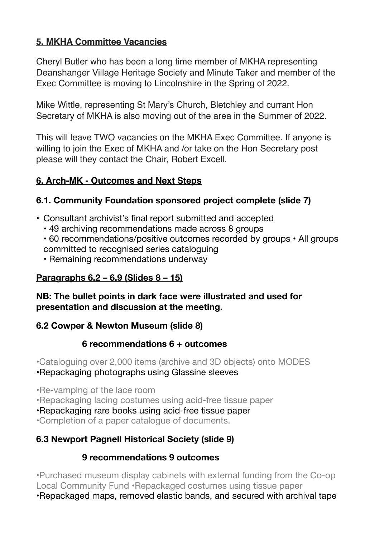## **5. MKHA Committee Vacancies**

Cheryl Butler who has been a long time member of MKHA representing Deanshanger Village Heritage Society and Minute Taker and member of the Exec Committee is moving to Lincolnshire in the Spring of 2022.

Mike Wittle, representing St Mary's Church, Bletchley and currant Hon Secretary of MKHA is also moving out of the area in the Summer of 2022.

This will leave TWO vacancies on the MKHA Exec Committee. If anyone is willing to join the Exec of MKHA and /or take on the Hon Secretary post please will they contact the Chair, Robert Excell.

## **6. Arch-MK - Outcomes and Next Steps**

## **6.1. Community Foundation sponsored project complete (slide 7)**

- Consultant archivist's final report submitted and accepted
	- 49 archiving recommendations made across 8 groups
	- 60 recommendations/positive outcomes recorded by groups All groups committed to recognised series cataloguing
	- Remaining recommendations underway

### **Paragraphs 6.2 – 6.9 (Slides 8 – 15)**

### **NB: The bullet points in dark face were illustrated and used for presentation and discussion at the meeting.**

### **6.2 Cowper & Newton Museum (slide 8)**

## **6 recommendations 6 + outcomes**

•Cataloguing over 2,000 items (archive and 3D objects) onto MODES

•Repackaging photographs using Glassine sleeves

•Re-vamping of the lace room

•Repackaging lacing costumes using acid-free tissue paper

•Repackaging rare books using acid-free tissue paper

•Completion of a paper catalogue of documents.

## **6.3 Newport Pagnell Historical Society (slide 9)**

## **9 recommendations 9 outcomes**

•Purchased museum display cabinets with external funding from the Co-op Local Community Fund •Repackaged costumes using tissue paper

•Repackaged maps, removed elastic bands, and secured with archival tape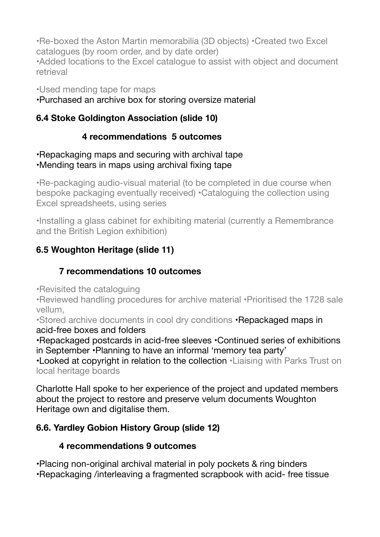•Re-boxed the Aston Martin memorabilia (3D objects) •Created two Excel catalogues (by room order, and by date order)

•Added locations to the Excel catalogue to assist with object and document retrieval

•Used mending tape for maps

•Purchased an archive box for storing oversize material

## **6.4 Stoke Goldington Association (slide 10)**

## **4 recommendations 5 outcomes**

•Repackaging maps and securing with archival tape

# •Mending tears in maps using archival fixing tape

•Re-packaging audio-visual material (to be completed in due course when bespoke packaging eventually received) •Cataloguing the collection using Excel spreadsheets, using series

•Installing a glass cabinet for exhibiting material (currently a Remembrance and the British Legion exhibition)

# **6.5 Woughton Heritage (slide 11)**

## **7 recommendations 10 outcomes**

•Revisited the cataloguing

•Reviewed handling procedures for archive material •Prioritised the 1728 sale vellum,

•Stored archive documents in cool dry conditions •Repackaged maps in acid-free boxes and folders

•Repackaged postcards in acid-free sleeves •Continued series of exhibitions in September •Planning to have an informal 'memory tea party'

•Looked at copyright in relation to the collection •Liaising with Parks Trust on local heritage boards

Charlotte Hall spoke to her experience of the project and updated members about the project to restore and preserve velum documents Woughton Heritage own and digitalise them.

## **6.6. Yardley Gobion History Group (slide 12)**

## **4 recommendations 9 outcomes**

•Placing non-original archival material in poly pockets & ring binders •Repackaging /interleaving a fragmented scrapbook with acid- free tissue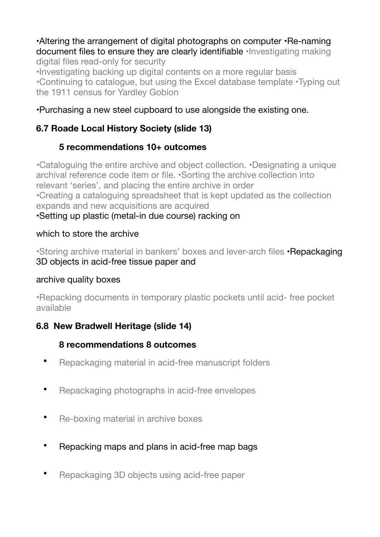#### •Altering the arrangement of digital photographs on computer •Re-naming document files to ensure they are clearly identifiable •Investigating making digital files read-only for security

•Investigating backing up digital contents on a more regular basis •Continuing to catalogue, but using the Excel database template •Typing out the 1911 census for Yardley Gobion

### •Purchasing a new steel cupboard to use alongside the existing one.

## **6.7 Roade Local History Society (slide 13)**

## **5 recommendations 10+ outcomes**

•Cataloguing the entire archive and object collection. •Designating a unique archival reference code item or file. •Sorting the archive collection into relevant 'series', and placing the entire archive in order •Creating a cataloguing spreadsheet that is kept updated as the collection expands and new acquisitions are acquired

# •Setting up plastic (metal-in due course) racking on

### which to store the archive

•Storing archive material in bankers' boxes and lever-arch files •Repackaging 3D objects in acid-free tissue paper and

### archive quality boxes

•Repacking documents in temporary plastic pockets until acid- free pocket available

## **6.8 New Bradwell Heritage (slide 14)**

### **8 recommendations 8 outcomes**

- Repackaging material in acid-free manuscript folders
- Repackaging photographs in acid-free envelopes
- Re-boxing material in archive boxes
- Repacking maps and plans in acid-free map bags
- Repackaging 3D objects using acid-free paper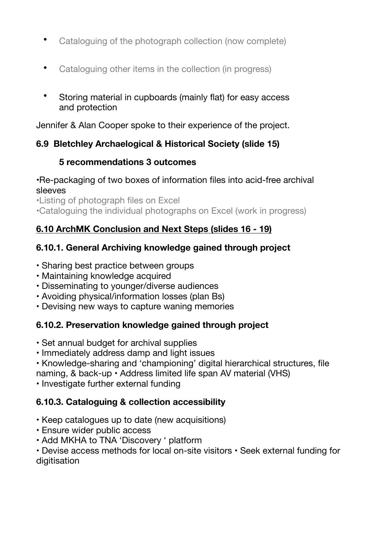- Cataloguing of the photograph collection (now complete)
- Cataloguing other items in the collection (in progress)
- Storing material in cupboards (mainly flat) for easy access and protection

Jennifer & Alan Cooper spoke to their experience of the project.

## **6.9 Bletchley Archaelogical & Historical Society (slide 15)**

## **5 recommendations 3 outcomes**

### •Re-packaging of two boxes of information files into acid-free archival sleeves

•Listing of photograph files on Excel

•Cataloguing the individual photographs on Excel (work in progress)

## **6.10 ArchMK Conclusion and Next Steps (slides 16 - 19)**

## **6.10.1. General Archiving knowledge gained through project**

- Sharing best practice between groups
- Maintaining knowledge acquired
- Disseminating to younger/diverse audiences
- Avoiding physical/information losses (plan Bs)
- Devising new ways to capture waning memories

## **6.10.2. Preservation knowledge gained through project**

- Set annual budget for archival supplies
- Immediately address damp and light issues
- Knowledge-sharing and 'championing' digital hierarchical structures, file
- naming, & back-up Address limited life span AV material (VHS)
- Investigate further external funding

## **6.10.3. Cataloguing & collection accessibility**

- Keep catalogues up to date (new acquisitions)
- Ensure wider public access
- Add MKHA to TNA 'Discovery ' platform

• Devise access methods for local on-site visitors • Seek external funding for digitisation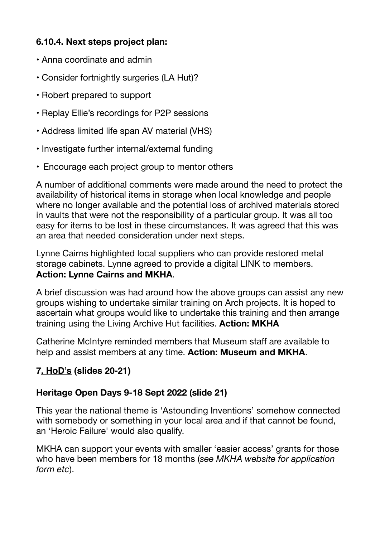## **6.10.4. Next steps project plan:**

- Anna coordinate and admin
- Consider fortnightly surgeries (LA Hut)?
- Robert prepared to support
- Replay Ellie's recordings for P2P sessions
- Address limited life span AV material (VHS)
- Investigate further internal/external funding
- Encourage each project group to mentor others

A number of additional comments were made around the need to protect the availability of historical items in storage when local knowledge and people where no longer available and the potential loss of archived materials stored in vaults that were not the responsibility of a particular group. It was all too easy for items to be lost in these circumstances. It was agreed that this was an area that needed consideration under next steps.

Lynne Cairns highlighted local suppliers who can provide restored metal storage cabinets. Lynne agreed to provide a digital LINK to members. **Action: Lynne Cairns and MKHA**.

A brief discussion was had around how the above groups can assist any new groups wishing to undertake similar training on Arch projects. It is hoped to ascertain what groups would like to undertake this training and then arrange training using the Living Archive Hut facilities. **Action: MKHA**

Catherine McIntyre reminded members that Museum staff are available to help and assist members at any time. **Action: Museum and MKHA**.

## **7. HoD's (slides 20-21)**

### **Heritage Open Days 9-18 Sept 2022 (slide 21)**

This year the national theme is 'Astounding Inventions' somehow connected with somebody or something in your local area and if that cannot be found, an 'Heroic Failure' would also qualify.

MKHA can support your events with smaller 'easier access' grants for those who have been members for 18 months (*see MKHA website for application form etc*).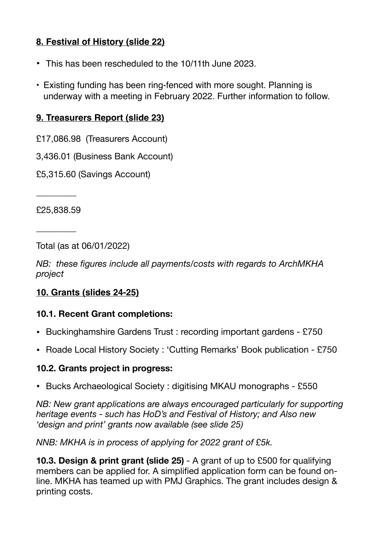## **8. Festival of History (slide 22)**

- This has been rescheduled to the 10/11th June 2023.
- Existing funding has been ring-fenced with more sought. Planning is underway with a meeting in February 2022. Further information to follow.

### **9. Treasurers Report (slide 23)**

- £17,086.98 (Treasurers Account)
- 3,436.01 (Business Bank Account)
- £5,315.60 (Savings Account)

£25,838.59

\_\_\_\_\_\_\_\_\_

\_\_\_\_\_\_\_\_\_

Total (as at 06/01/2022)

*NB: these figures include all payments/costs with regards to ArchMKHA project*

### **10. Grants (slides 24-25)**

### **10.1. Recent Grant completions:**

- Buckinghamshire Gardens Trust : recording important gardens £750
- Roade Local History Society : 'Cutting Remarks' Book publication £750

### **10.2. Grants project in progress:**

• Bucks Archaeological Society : digitising MKAU monographs - £550

*NB: New grant applications are always encouraged particularly for supporting heritage events - such has HoD's and Festival of History; and Also new 'design and print' grants now available (see slide 25)* 

*NNB: MKHA is in process of applying for 2022 grant of £5k.* 

**10.3. Design & print grant (slide 25)** - A grant of up to £500 for qualifying members can be applied for. A simplified application form can be found online. MKHA has teamed up with PMJ Graphics. The grant includes design & printing costs.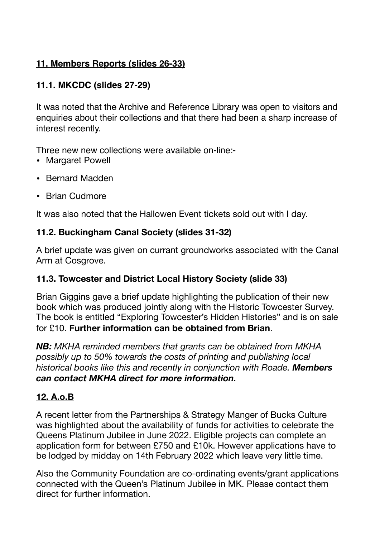## **11. Members Reports (slides 26-33)**

## **11.1. MKCDC (slides 27-29)**

It was noted that the Archive and Reference Library was open to visitors and enquiries about their collections and that there had been a sharp increase of interest recently.

Three new new collections were available on-line:-

- Margaret Powell
- Bernard Madden
- Brian Cudmore

It was also noted that the Hallowen Event tickets sold out with I day.

### **11.2. Buckingham Canal Society (slides 31-32)**

A brief update was given on currant groundworks associated with the Canal Arm at Cosgrove.

### **11.3. Towcester and District Local History Society (slide 33)**

Brian Giggins gave a brief update highlighting the publication of their new book which was produced jointly along with the Historic Towcester Survey. The book is entitled "Exploring Towcester's Hidden Histories" and is on sale for £10. **Further information can be obtained from Brian**.

*NB: MKHA reminded members that grants can be obtained from MKHA possibly up to 50% towards the costs of printing and publishing local historical books like this and recently in conjunction with Roade. Members can contact MKHA direct for more information.* 

### **12. A.o.B**

A recent letter from the Partnerships & Strategy Manger of Bucks Culture was highlighted about the availability of funds for activities to celebrate the Queens Platinum Jubilee in June 2022. Eligible projects can complete an application form for between £750 and £10k. However applications have to be lodged by midday on 14th February 2022 which leave very little time.

Also the Community Foundation are co-ordinating events/grant applications connected with the Queen's Platinum Jubilee in MK. Please contact them direct for further information.